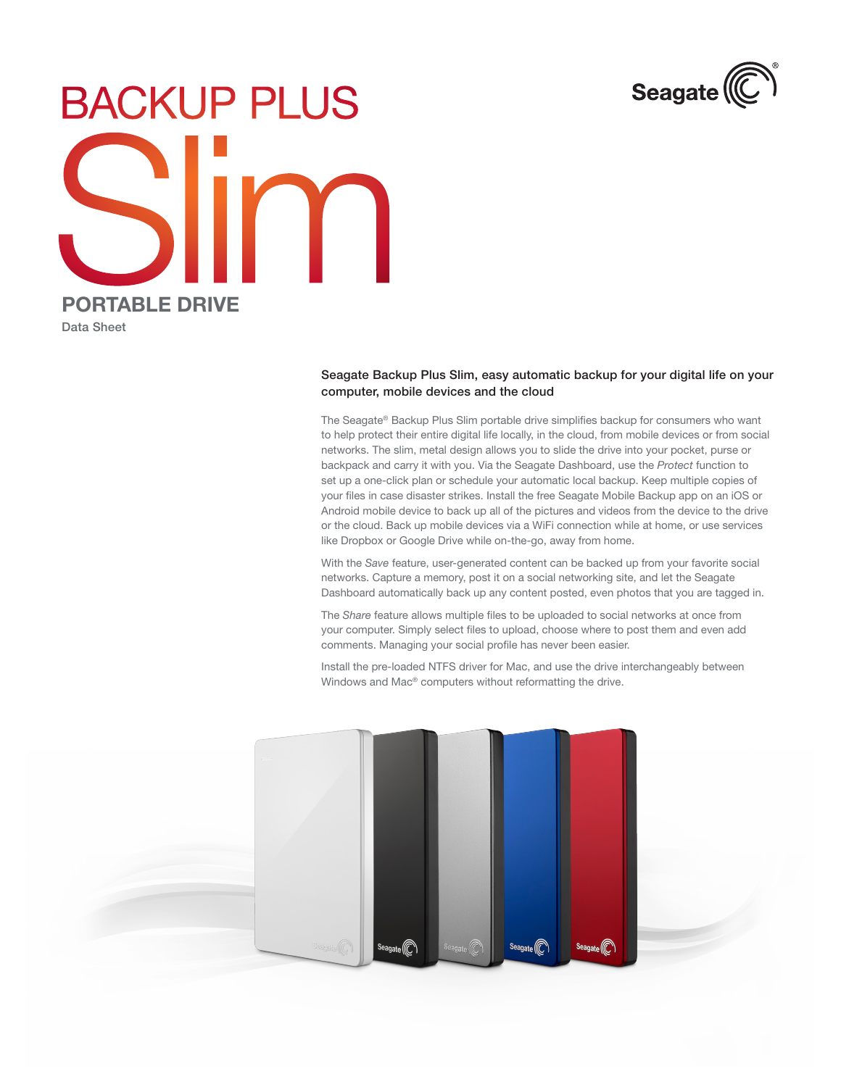

## **BACKUP PLUS** PORTABLE DRIVE

Data Sheet

## Seagate Backup Plus Slim, easy automatic backup for your digital life on your computer, mobile devices and the cloud

The Seagate® Backup Plus Slim portable drive simplifies backup for consumers who want to help protect their entire digital life locally, in the cloud, from mobile devices or from social networks. The slim, metal design allows you to slide the drive into your pocket, purse or backpack and carry it with you. Via the Seagate Dashboard, use the *Protect* function to set up a one-click plan or schedule your automatic local backup. Keep multiple copies of your files in case disaster strikes. Install the free Seagate Mobile Backup app on an iOS or Android mobile device to back up all of the pictures and videos from the device to the drive or the cloud. Back up mobile devices via a WiFi connection while at home, or use services like Dropbox or Google Drive while on-the-go, away from home.

With the *Save* feature, user-generated content can be backed up from your favorite social networks. Capture a memory, post it on a social networking site, and let the Seagate Dashboard automatically back up any content posted, even photos that you are tagged in.

The *Share* feature allows multiple files to be uploaded to social networks at once from your computer. Simply select files to upload, choose where to post them and even add comments. Managing your social profile has never been easier.

Install the pre-loaded NTFS driver for Mac, and use the drive interchangeably between Windows and Mac® computers without reformatting the drive.